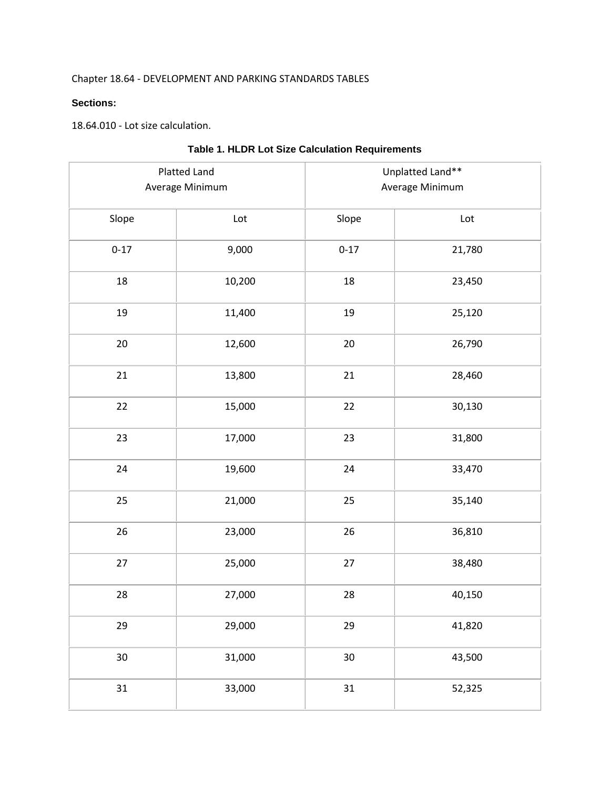## Chapter 18.64 - DEVELOPMENT AND PARKING STANDARDS TABLES

## **Sections:**

18.64.010 - Lot size calculation.

|          | Platted Land<br>Average Minimum | Unplatted Land**<br>Average Minimum |        |  |
|----------|---------------------------------|-------------------------------------|--------|--|
| Slope    | Lot                             | Slope                               | Lot    |  |
| $0 - 17$ | 9,000                           | $0 - 17$                            | 21,780 |  |
| 18       | 10,200                          | 18                                  | 23,450 |  |
| 19       | 11,400                          | 19                                  | 25,120 |  |
| 20       | 12,600                          | 20                                  | 26,790 |  |
| 21       | 13,800                          | 21                                  | 28,460 |  |
| 22       | 15,000                          | 22                                  | 30,130 |  |
| 23       | 17,000                          | 23                                  | 31,800 |  |
| 24       | 19,600                          | 24                                  | 33,470 |  |
| 25       | 21,000                          | 25                                  | 35,140 |  |
| 26       | 23,000                          | 26                                  | 36,810 |  |
| $27$     | 25,000                          | 27                                  | 38,480 |  |
| 28       | 27,000                          | 28                                  | 40,150 |  |
| 29       | 29,000                          | 29                                  | 41,820 |  |
| $30\,$   | 31,000                          | $30\,$                              | 43,500 |  |
| 31       | 33,000                          | 31                                  | 52,325 |  |

## **Table 1. HLDR Lot Size Calculation Requirements**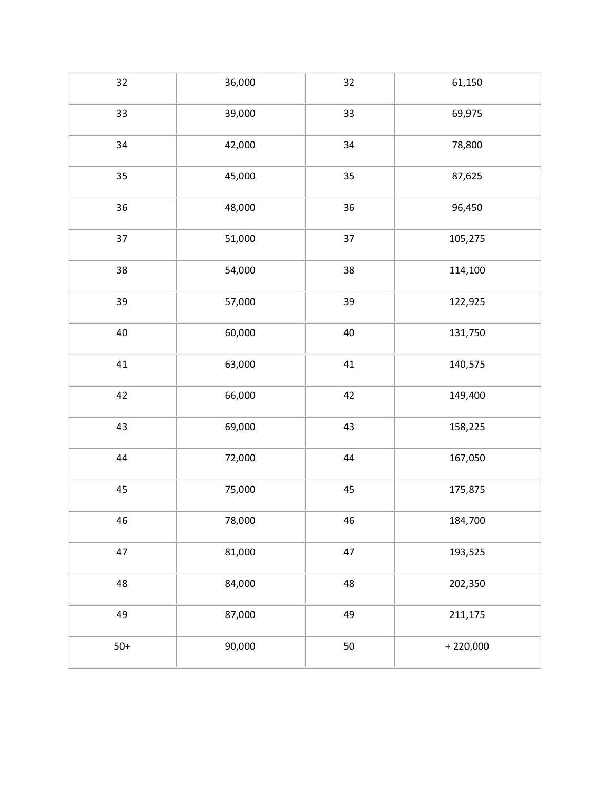| 32     | 36,000 | 32     | 61,150     |
|--------|--------|--------|------------|
| 33     | 39,000 | 33     | 69,975     |
| 34     | 42,000 | 34     | 78,800     |
| 35     | 45,000 | 35     | 87,625     |
| $36\,$ | 48,000 | 36     | 96,450     |
| 37     | 51,000 | 37     | 105,275    |
| 38     | 54,000 | 38     | 114,100    |
| 39     | 57,000 | 39     | 122,925    |
| 40     | 60,000 | 40     | 131,750    |
| 41     | 63,000 | $41\,$ | 140,575    |
| 42     | 66,000 | 42     | 149,400    |
| 43     | 69,000 | 43     | 158,225    |
| 44     | 72,000 | 44     | 167,050    |
| 45     | 75,000 | 45     | 175,875    |
| 46     | 78,000 | 46     | 184,700    |
| 47     | 81,000 | 47     | 193,525    |
| 48     | 84,000 | 48     | 202,350    |
| 49     | 87,000 | 49     | 211,175    |
| $50+$  | 90,000 | 50     | $+220,000$ |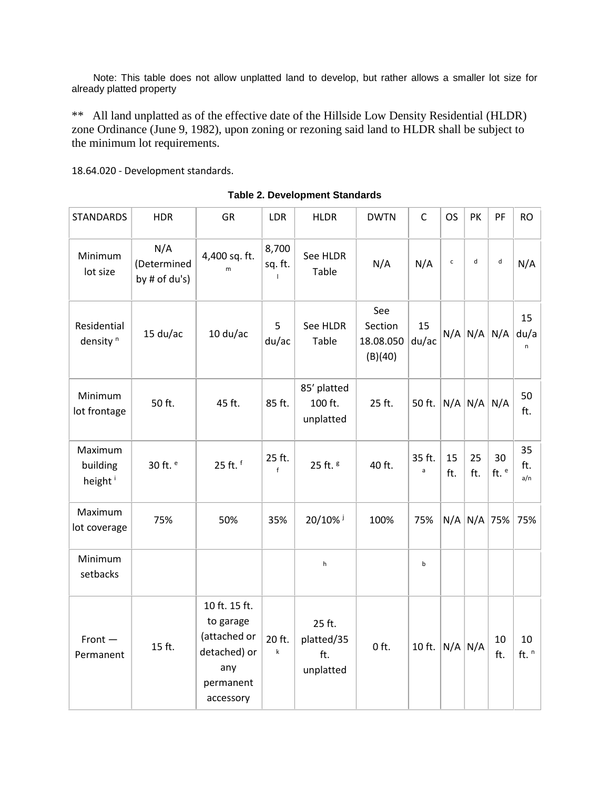Note: This table does not allow unplatted land to develop, but rather allows a smaller lot size for already platted property

\*\* All land unplatted as of the effective date of the Hillside Low Density Residential (HLDR) zone Ordinance (June 9, 1982), upon zoning or rezoning said land to HLDR shall be subject to the minimum lot requirements.

18.64.020 - Development standards.

| <b>STANDARDS</b>                           | <b>HDR</b>                          | <b>GR</b>                                                                                   | LDR                              | <b>HLDR</b>                              | <b>DWTN</b>                            | $\mathsf{C}$           | <b>OS</b>    | PK                | PF              | <b>RO</b>        |
|--------------------------------------------|-------------------------------------|---------------------------------------------------------------------------------------------|----------------------------------|------------------------------------------|----------------------------------------|------------------------|--------------|-------------------|-----------------|------------------|
| Minimum<br>lot size                        | N/A<br>(Determined<br>by # of du's) | 4,400 sq. ft.<br>m                                                                          | 8,700<br>sq. ft.<br>$\mathbf{I}$ | See HLDR<br>Table                        | N/A                                    | N/A                    | $\mathsf{c}$ | d                 | $\sf d$         | N/A              |
| Residential<br>density <sup>n</sup>        | $15$ du/ac                          | $10 \frac{\text{du}}{\text{ac}}$                                                            | 5<br>du/ac                       | See HLDR<br>Table                        | See<br>Section<br>18.08.050<br>(B)(40) | 15<br>du/ac            |              | $N/A$ $N/A$ $N/A$ |                 | 15<br>du/a<br>n  |
| Minimum<br>lot frontage                    | 50 ft.                              | 45 ft.                                                                                      | 85 ft.                           | 85' platted<br>100 ft.<br>unplatted      | 25 ft.                                 | 50 ft.                 |              | $N/A$ $N/A$ $N/A$ |                 | 50<br>ft.        |
| Maximum<br>building<br>height <sup>i</sup> | 30 ft. <sup>e</sup>                 | 25 ft. f                                                                                    | 25 ft.<br>f                      | 25 ft. <sup>g</sup>                      | 40 ft.                                 | 35 ft.<br>$\mathsf{a}$ | 15<br>ft.    | 25<br>ft.         | 30<br>ft. $e$   | 35<br>ft.<br>a/n |
| Maximum<br>lot coverage                    | 75%                                 | 50%                                                                                         | 35%                              | 20/10% i                                 | 100%                                   | 75%                    |              |                   | $N/A$ $N/A$ 75% | 75%              |
| Minimum<br>setbacks                        |                                     |                                                                                             |                                  | h                                        |                                        | b                      |              |                   |                 |                  |
| $Front -$<br>Permanent                     | 15 ft.                              | 10 ft. 15 ft.<br>to garage<br>(attached or<br>detached) or<br>any<br>permanent<br>accessory | 20 ft.<br>$\sf k$                | 25 ft.<br>platted/35<br>ft.<br>unplatted | $0$ ft.                                | 10 ft.                 | $N/A$ $N/A$  |                   | 10<br>ft.       | 10<br>ft. $n$    |

**Table 2. Development Standards**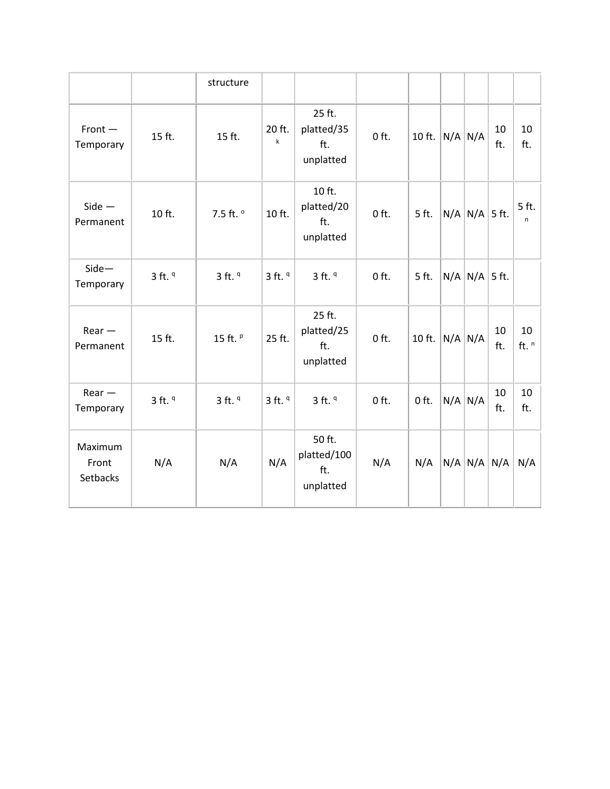|                              |             | structure   |                       |                                           |         |         |             |                   |           |               |
|------------------------------|-------------|-------------|-----------------------|-------------------------------------------|---------|---------|-------------|-------------------|-----------|---------------|
| $Front -$<br>Temporary       | 15 ft.      | 15 ft.      | 20 ft.<br>$\mathsf k$ | 25 ft.<br>platted/35<br>ft.<br>unplatted  | $0$ ft. | 10 ft.  |             | $N/A$ $N/A$       | 10<br>ft. | 10<br>ft.     |
| $Side -$<br>Permanent        | 10 ft.      | 7.5 ft. º   | 10 ft.                | 10 ft.<br>platted/20<br>ft.<br>unplatted  | $0$ ft. | 5 ft.   |             | $N/A$ $N/A$ 5 ft. |           | 5 ft.<br>n    |
| $Side -$<br>Temporary        | $3$ ft. $9$ | $3$ ft. $9$ | $3$ ft. $9$           | $3$ ft. $9$                               | $0$ ft. | 5 ft.   |             | $N/A$ $N/A$ 5 ft. |           |               |
| $Rear -$<br>Permanent        | 15 ft.      | 15 ft. P    | 25 ft.                | 25 ft.<br>platted/25<br>ft.<br>unplatted  | $0$ ft. | 10 ft.  | $N/A$ $N/A$ |                   | 10<br>ft. | 10<br>ft. $n$ |
| $Rear -$<br>Temporary        | $3$ ft. $9$ | $3$ ft. $9$ | $3$ ft. $9$           | $3$ ft. $9$                               | $0$ ft. | $0$ ft. |             | $N/A$ $N/A$       | 10<br>ft. | 10<br>ft.     |
| Maximum<br>Front<br>Setbacks | N/A         | N/A         | N/A                   | 50 ft.<br>platted/100<br>ft.<br>unplatted | N/A     | N/A     |             | $N/A$ $N/A$ $N/A$ |           | N/A           |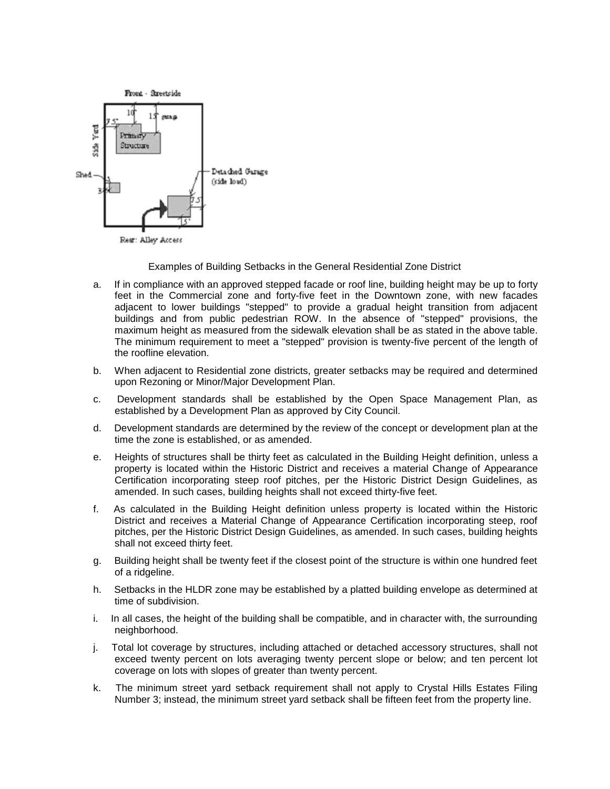

Examples of Building Setbacks in the General Residential Zone District

- a. If in compliance with an approved stepped facade or roof line, building height may be up to forty feet in the Commercial zone and forty-five feet in the Downtown zone, with new facades adjacent to lower buildings "stepped" to provide a gradual height transition from adjacent buildings and from public pedestrian ROW. In the absence of "stepped" provisions, the maximum height as measured from the sidewalk elevation shall be as stated in the above table. The minimum requirement to meet a "stepped" provision is twenty-five percent of the length of the roofline elevation.
- b. When adjacent to Residential zone districts, greater setbacks may be required and determined upon Rezoning or Minor/Major Development Plan.
- c. Development standards shall be established by the Open Space Management Plan, as established by a Development Plan as approved by City Council.
- d. Development standards are determined by the review of the concept or development plan at the time the zone is established, or as amended.
- e. Heights of structures shall be thirty feet as calculated in the Building Height definition, unless a property is located within the Historic District and receives a material Change of Appearance Certification incorporating steep roof pitches, per the Historic District Design Guidelines, as amended. In such cases, building heights shall not exceed thirty-five feet.
- f. As calculated in the Building Height definition unless property is located within the Historic District and receives a Material Change of Appearance Certification incorporating steep, roof pitches, per the Historic District Design Guidelines, as amended. In such cases, building heights shall not exceed thirty feet.
- g. Building height shall be twenty feet if the closest point of the structure is within one hundred feet of a ridgeline.
- h. Setbacks in the HLDR zone may be established by a platted building envelope as determined at time of subdivision.
- i. In all cases, the height of the building shall be compatible, and in character with, the surrounding neighborhood.
- j. Total lot coverage by structures, including attached or detached accessory structures, shall not exceed twenty percent on lots averaging twenty percent slope or below; and ten percent lot coverage on lots with slopes of greater than twenty percent.
- k. The minimum street yard setback requirement shall not apply to Crystal Hills Estates Filing Number 3; instead, the minimum street yard setback shall be fifteen feet from the property line.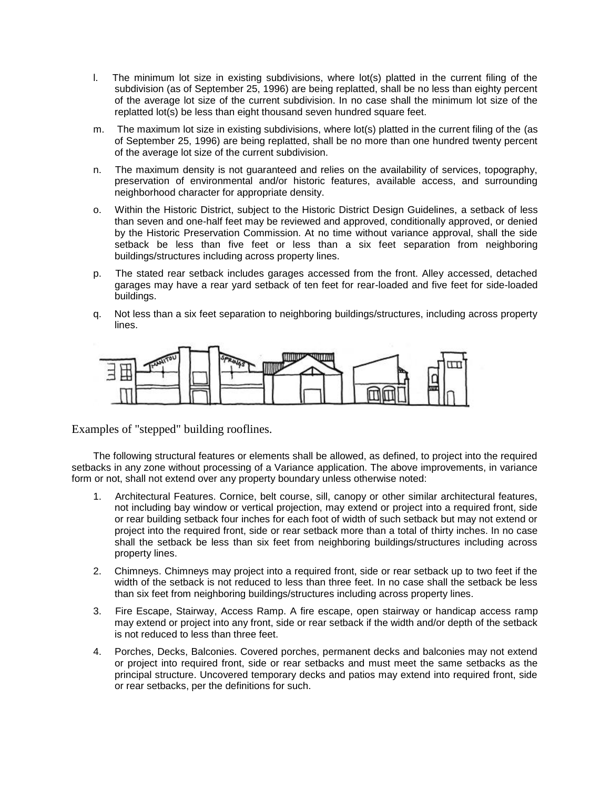- l. The minimum lot size in existing subdivisions, where lot(s) platted in the current filing of the subdivision (as of September 25, 1996) are being replatted, shall be no less than eighty percent of the average lot size of the current subdivision. In no case shall the minimum lot size of the replatted lot(s) be less than eight thousand seven hundred square feet.
- m. The maximum lot size in existing subdivisions, where lot(s) platted in the current filing of the (as of September 25, 1996) are being replatted, shall be no more than one hundred twenty percent of the average lot size of the current subdivision.
- n. The maximum density is not guaranteed and relies on the availability of services, topography, preservation of environmental and/or historic features, available access, and surrounding neighborhood character for appropriate density.
- o. Within the Historic District, subject to the Historic District Design Guidelines, a setback of less than seven and one-half feet may be reviewed and approved, conditionally approved, or denied by the Historic Preservation Commission. At no time without variance approval, shall the side setback be less than five feet or less than a six feet separation from neighboring buildings/structures including across property lines.
- p. The stated rear setback includes garages accessed from the front. Alley accessed, detached garages may have a rear yard setback of ten feet for rear-loaded and five feet for side-loaded buildings.
- q. Not less than a six feet separation to neighboring buildings/structures, including across property lines.



Examples of "stepped" building rooflines.

The following structural features or elements shall be allowed, as defined, to project into the required setbacks in any zone without processing of a Variance application. The above improvements, in variance form or not, shall not extend over any property boundary unless otherwise noted:

- 1. Architectural Features. Cornice, belt course, sill, canopy or other similar architectural features, not including bay window or vertical projection, may extend or project into a required front, side or rear building setback four inches for each foot of width of such setback but may not extend or project into the required front, side or rear setback more than a total of thirty inches. In no case shall the setback be less than six feet from neighboring buildings/structures including across property lines.
- 2. Chimneys. Chimneys may project into a required front, side or rear setback up to two feet if the width of the setback is not reduced to less than three feet. In no case shall the setback be less than six feet from neighboring buildings/structures including across property lines.
- 3. Fire Escape, Stairway, Access Ramp. A fire escape, open stairway or handicap access ramp may extend or project into any front, side or rear setback if the width and/or depth of the setback is not reduced to less than three feet.
- 4. Porches, Decks, Balconies. Covered porches, permanent decks and balconies may not extend or project into required front, side or rear setbacks and must meet the same setbacks as the principal structure. Uncovered temporary decks and patios may extend into required front, side or rear setbacks, per the definitions for such.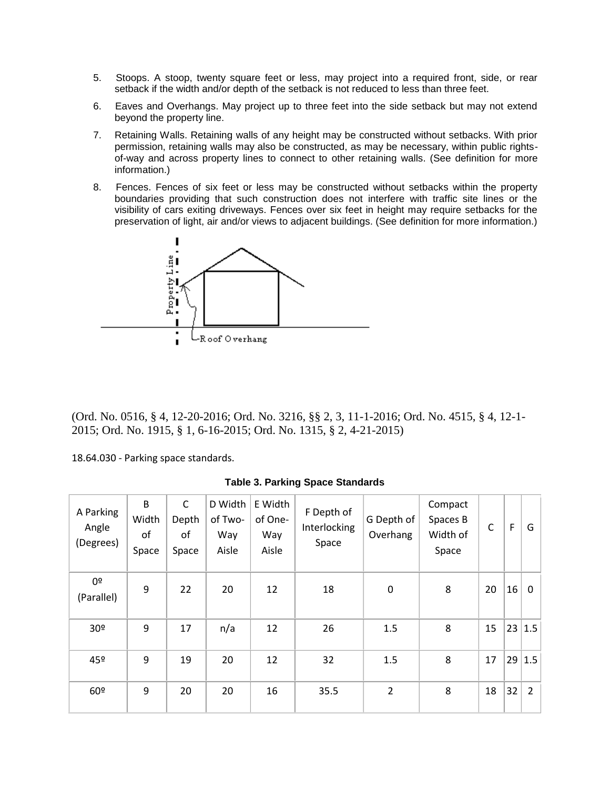- 5. Stoops. A stoop, twenty square feet or less, may project into a required front, side, or rear setback if the width and/or depth of the setback is not reduced to less than three feet.
- 6. Eaves and Overhangs. May project up to three feet into the side setback but may not extend beyond the property line.
- 7. Retaining Walls. Retaining walls of any height may be constructed without setbacks. With prior permission, retaining walls may also be constructed, as may be necessary, within public rightsof-way and across property lines to connect to other retaining walls. (See definition for more information.)
- 8. Fences. Fences of six feet or less may be constructed without setbacks within the property boundaries providing that such construction does not interfere with traffic site lines or the visibility of cars exiting driveways. Fences over six feet in height may require setbacks for the preservation of light, air and/or views to adjacent buildings. (See definition for more information.)



(Ord. No. 0516, § 4, 12-20-2016; Ord. No. 3216, §§ 2, 3, 11-1-2016; Ord. No. 4515, § 4, 12-1- 2015; Ord. No. 1915, § 1, 6-16-2015; Ord. No. 1315, § 2, 4-21-2015)

18.64.030 - Parking space standards.

| A Parking<br>Angle<br>(Degrees) | B<br>Width<br>of<br>Space | $\mathsf{C}$<br>Depth<br>of<br>Space | D Width<br>of Two-<br>Way<br>Aisle | E Width<br>of One-<br>Way<br>Aisle | F Depth of<br>Interlocking<br>Space | G Depth of<br>Overhang | Compact<br>Spaces B<br>Width of<br>Space | C  | $\mathsf F$ | G              |
|---------------------------------|---------------------------|--------------------------------------|------------------------------------|------------------------------------|-------------------------------------|------------------------|------------------------------------------|----|-------------|----------------|
| 0º<br>(Parallel)                | 9                         | 22                                   | 20                                 | 12                                 | 18                                  | $\mathbf 0$            | 8                                        | 20 | 16          | $\mathbf 0$    |
| 30 <sup>o</sup>                 | 9                         | 17                                   | n/a                                | 12                                 | 26                                  | 1.5                    | 8                                        | 15 |             | 23 1.5         |
| 45º                             | 9                         | 19                                   | 20                                 | 12                                 | 32                                  | 1.5                    | 8                                        | 17 |             | 29 1.5         |
| 60º                             | 9                         | 20                                   | 20                                 | 16                                 | 35.5                                | $\overline{2}$         | 8                                        | 18 | 32          | $\overline{2}$ |

**Table 3. Parking Space Standards**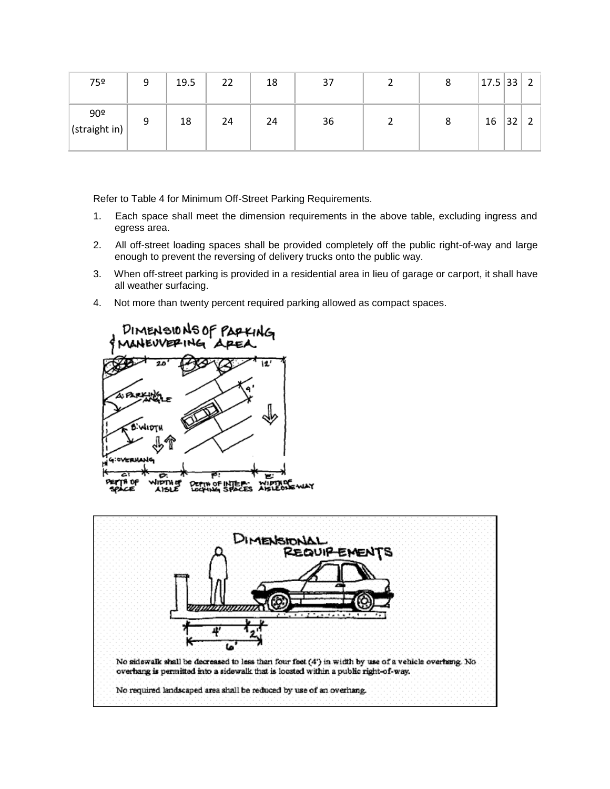| 75º                              |   | 19.5 | 22 | 18 | 37 | 8 | 17.5 33 |    | $\overline{2}$ |
|----------------------------------|---|------|----|----|----|---|---------|----|----------------|
| 90 <sup>°</sup><br>(straight in) | 9 | 18   | 24 | 24 | 36 | 8 | 16      | 32 | ◠              |

Refer to Table 4 for Minimum Off-Street Parking Requirements.

- 1. Each space shall meet the dimension requirements in the above table, excluding ingress and egress area.
- 2. All off-street loading spaces shall be provided completely off the public right-of-way and large enough to prevent the reversing of delivery trucks onto the public way.
- 3. When off-street parking is provided in a residential area in lieu of garage or carport, it shall have all weather surfacing.
- 4. Not more than twenty percent required parking allowed as compact spaces.



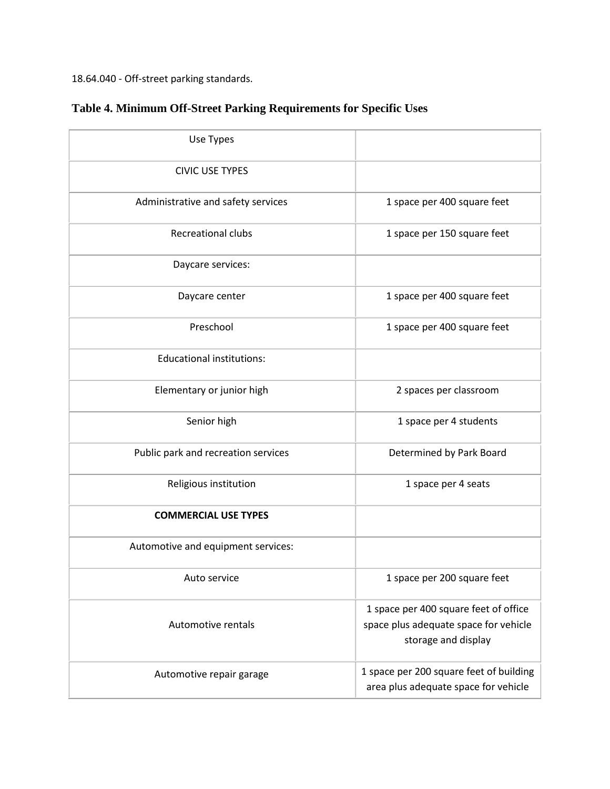18.64.040 - Off-street parking standards.

| Use Types                           |                                                                                                       |
|-------------------------------------|-------------------------------------------------------------------------------------------------------|
| <b>CIVIC USE TYPES</b>              |                                                                                                       |
| Administrative and safety services  | 1 space per 400 square feet                                                                           |
| <b>Recreational clubs</b>           | 1 space per 150 square feet                                                                           |
| Daycare services:                   |                                                                                                       |
| Daycare center                      | 1 space per 400 square feet                                                                           |
| Preschool                           | 1 space per 400 square feet                                                                           |
| <b>Educational institutions:</b>    |                                                                                                       |
| Elementary or junior high           | 2 spaces per classroom                                                                                |
| Senior high                         | 1 space per 4 students                                                                                |
| Public park and recreation services | Determined by Park Board                                                                              |
| Religious institution               | 1 space per 4 seats                                                                                   |
| <b>COMMERCIAL USE TYPES</b>         |                                                                                                       |
| Automotive and equipment services:  |                                                                                                       |
| Auto service                        | 1 space per 200 square feet                                                                           |
| Automotive rentals                  | 1 space per 400 square feet of office<br>space plus adequate space for vehicle<br>storage and display |
| Automotive repair garage            | 1 space per 200 square feet of building<br>area plus adequate space for vehicle                       |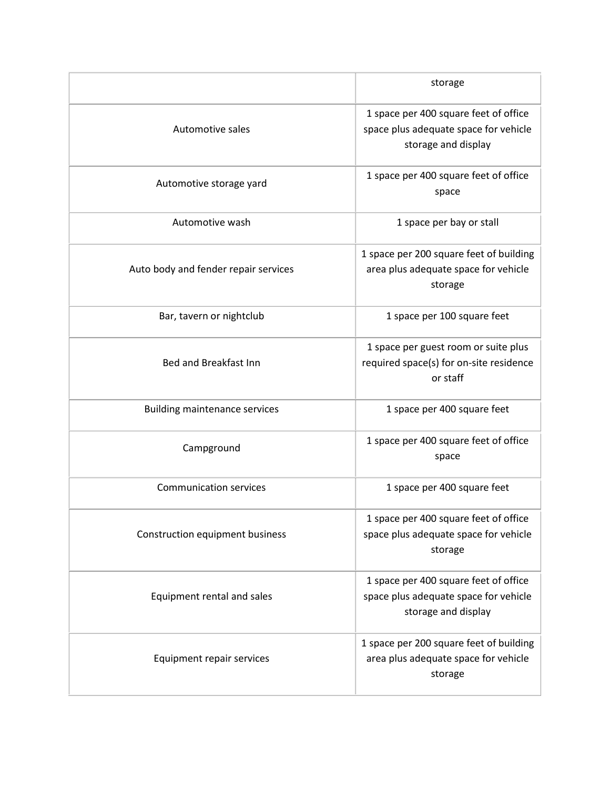|                                      | storage                                                                                               |
|--------------------------------------|-------------------------------------------------------------------------------------------------------|
| Automotive sales                     | 1 space per 400 square feet of office<br>space plus adequate space for vehicle<br>storage and display |
| Automotive storage yard              | 1 space per 400 square feet of office<br>space                                                        |
| Automotive wash                      | 1 space per bay or stall                                                                              |
| Auto body and fender repair services | 1 space per 200 square feet of building<br>area plus adequate space for vehicle<br>storage            |
| Bar, tavern or nightclub             | 1 space per 100 square feet                                                                           |
| Bed and Breakfast Inn                | 1 space per guest room or suite plus<br>required space(s) for on-site residence<br>or staff           |
| <b>Building maintenance services</b> | 1 space per 400 square feet                                                                           |
| Campground                           | 1 space per 400 square feet of office<br>space                                                        |
| <b>Communication services</b>        | 1 space per 400 square feet                                                                           |
| Construction equipment business      | 1 space per 400 square feet of office<br>space plus adequate space for vehicle<br>storage             |
| Equipment rental and sales           | 1 space per 400 square feet of office<br>space plus adequate space for vehicle<br>storage and display |
| Equipment repair services            | 1 space per 200 square feet of building<br>area plus adequate space for vehicle<br>storage            |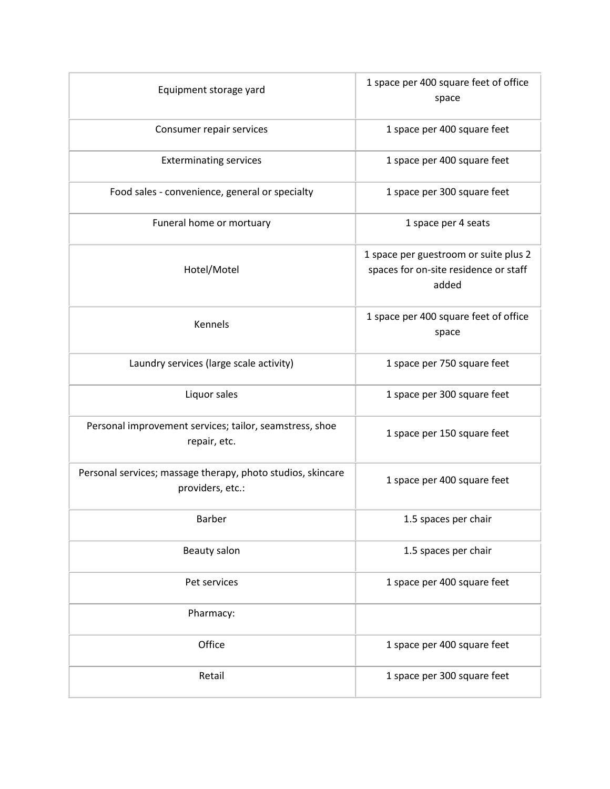| Equipment storage yard                                                          | 1 space per 400 square feet of office<br>space                                          |
|---------------------------------------------------------------------------------|-----------------------------------------------------------------------------------------|
| Consumer repair services                                                        | 1 space per 400 square feet                                                             |
| <b>Exterminating services</b>                                                   | 1 space per 400 square feet                                                             |
| Food sales - convenience, general or specialty                                  | 1 space per 300 square feet                                                             |
| Funeral home or mortuary                                                        | 1 space per 4 seats                                                                     |
| Hotel/Motel                                                                     | 1 space per guestroom or suite plus 2<br>spaces for on-site residence or staff<br>added |
| Kennels                                                                         | 1 space per 400 square feet of office<br>space                                          |
| Laundry services (large scale activity)                                         | 1 space per 750 square feet                                                             |
| Liquor sales                                                                    | 1 space per 300 square feet                                                             |
| Personal improvement services; tailor, seamstress, shoe<br>repair, etc.         | 1 space per 150 square feet                                                             |
| Personal services; massage therapy, photo studios, skincare<br>providers, etc.: | 1 space per 400 square feet                                                             |
| Barber                                                                          | 1.5 spaces per chair                                                                    |
| Beauty salon                                                                    | 1.5 spaces per chair                                                                    |
| Pet services                                                                    | 1 space per 400 square feet                                                             |
| Pharmacy:                                                                       |                                                                                         |
| Office                                                                          | 1 space per 400 square feet                                                             |
| Retail                                                                          | 1 space per 300 square feet                                                             |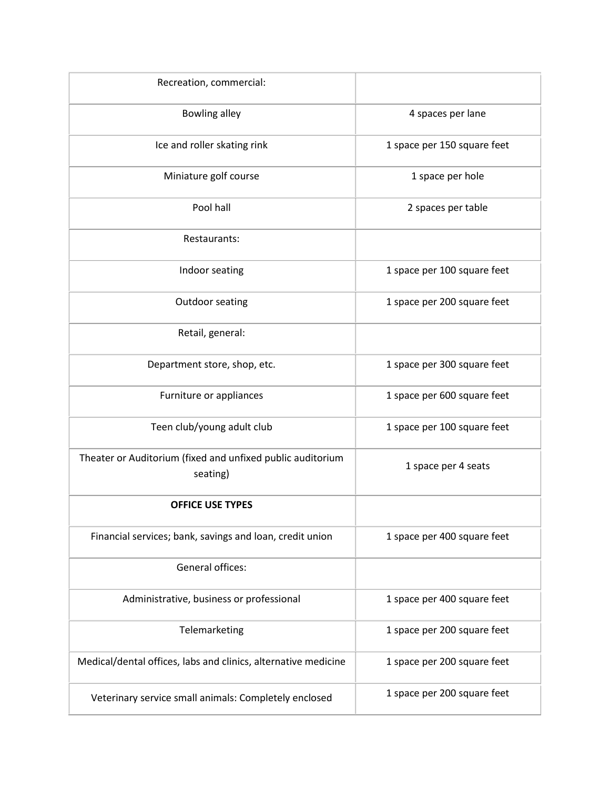| Recreation, commercial:                                                |                             |
|------------------------------------------------------------------------|-----------------------------|
| <b>Bowling alley</b>                                                   | 4 spaces per lane           |
| Ice and roller skating rink                                            | 1 space per 150 square feet |
| Miniature golf course                                                  | 1 space per hole            |
| Pool hall                                                              | 2 spaces per table          |
| Restaurants:                                                           |                             |
| Indoor seating                                                         | 1 space per 100 square feet |
| Outdoor seating                                                        | 1 space per 200 square feet |
| Retail, general:                                                       |                             |
| Department store, shop, etc.                                           | 1 space per 300 square feet |
| Furniture or appliances                                                | 1 space per 600 square feet |
| Teen club/young adult club                                             | 1 space per 100 square feet |
| Theater or Auditorium (fixed and unfixed public auditorium<br>seating) | 1 space per 4 seats         |
| <b>OFFICE USE TYPES</b>                                                |                             |
| Financial services; bank, savings and loan, credit union               | 1 space per 400 square feet |
| <b>General offices:</b>                                                |                             |
| Administrative, business or professional                               | 1 space per 400 square feet |
| Telemarketing                                                          | 1 space per 200 square feet |
| Medical/dental offices, labs and clinics, alternative medicine         | 1 space per 200 square feet |
| Veterinary service small animals: Completely enclosed                  | 1 space per 200 square feet |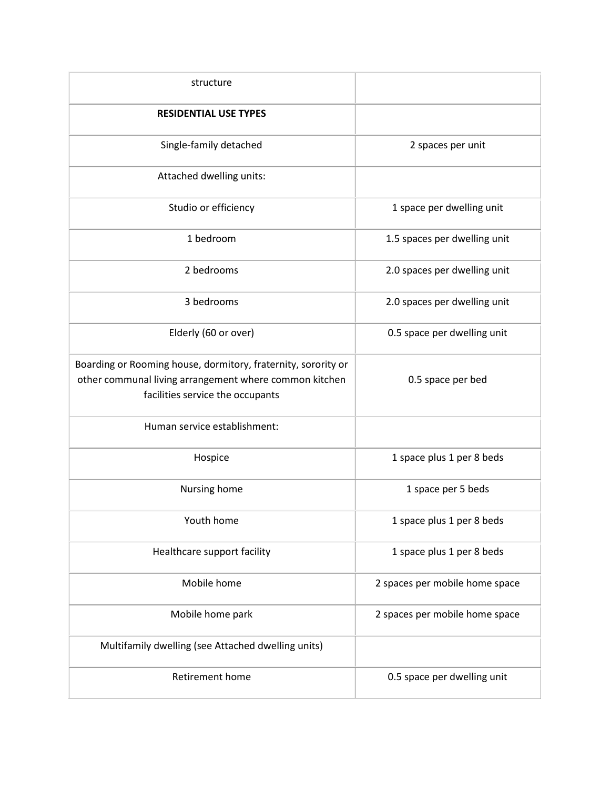| structure                                                                                                                                                   |                                |
|-------------------------------------------------------------------------------------------------------------------------------------------------------------|--------------------------------|
| <b>RESIDENTIAL USE TYPES</b>                                                                                                                                |                                |
| Single-family detached                                                                                                                                      | 2 spaces per unit              |
| Attached dwelling units:                                                                                                                                    |                                |
| Studio or efficiency                                                                                                                                        | 1 space per dwelling unit      |
| 1 bedroom                                                                                                                                                   | 1.5 spaces per dwelling unit   |
| 2 bedrooms                                                                                                                                                  | 2.0 spaces per dwelling unit   |
| 3 bedrooms                                                                                                                                                  | 2.0 spaces per dwelling unit   |
| Elderly (60 or over)                                                                                                                                        | 0.5 space per dwelling unit    |
| Boarding or Rooming house, dormitory, fraternity, sorority or<br>other communal living arrangement where common kitchen<br>facilities service the occupants | 0.5 space per bed              |
| Human service establishment:                                                                                                                                |                                |
| Hospice                                                                                                                                                     | 1 space plus 1 per 8 beds      |
| Nursing home                                                                                                                                                | 1 space per 5 beds             |
| Youth home                                                                                                                                                  | 1 space plus 1 per 8 beds      |
| Healthcare support facility                                                                                                                                 | 1 space plus 1 per 8 beds      |
| Mobile home                                                                                                                                                 | 2 spaces per mobile home space |
| Mobile home park                                                                                                                                            | 2 spaces per mobile home space |
| Multifamily dwelling (see Attached dwelling units)                                                                                                          |                                |
| Retirement home                                                                                                                                             | 0.5 space per dwelling unit    |